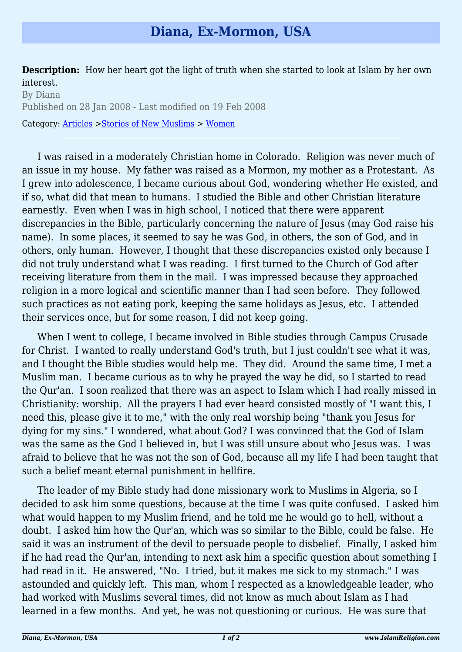**Description:** How her heart got the light of truth when she started to look at Islam by her own interest.

By Diana Published on 28 Jan 2008 - Last modified on 19 Feb 2008 Category: [Articles](http://www.islamreligion.com/articles/) >[Stories of New Muslims](http://www.islamreligion.com/category/63/) > [Women](http://www.islamreligion.com/category/65/)

I was raised in a moderately Christian home in Colorado. Religion was never much of an issue in my house. My father was raised as a Mormon, my mother as a Protestant. As I grew into adolescence, I became curious about God, wondering whether He existed, and if so, what did that mean to humans. I studied the Bible and other Christian literature earnestly. Even when I was in high school, I noticed that there were apparent discrepancies in the Bible, particularly concerning the nature of Jesus (may God raise his name). In some places, it seemed to say he was God, in others, the son of God, and in others, only human. However, I thought that these discrepancies existed only because I did not truly understand what I was reading. I first turned to the Church of God after receiving literature from them in the mail. I was impressed because they approached religion in a more logical and scientific manner than I had seen before. They followed such practices as not eating pork, keeping the same holidays as Jesus, etc. I attended their services once, but for some reason, I did not keep going.

When I went to college, I became involved in Bible studies through Campus Crusade for Christ. I wanted to really understand God's truth, but I just couldn't see what it was, and I thought the Bible studies would help me. They did. Around the same time, I met a Muslim man. I became curious as to why he prayed the way he did, so I started to read the Qur'an. I soon realized that there was an aspect to Islam which I had really missed in Christianity: worship. All the prayers I had ever heard consisted mostly of "I want this, I need this, please give it to me," with the only real worship being "thank you Jesus for dying for my sins." I wondered, what about God? I was convinced that the God of Islam was the same as the God I believed in, but I was still unsure about who Jesus was. I was afraid to believe that he was not the son of God, because all my life I had been taught that such a belief meant eternal punishment in hellfire.

The leader of my Bible study had done missionary work to Muslims in Algeria, so I decided to ask him some questions, because at the time I was quite confused. I asked him what would happen to my Muslim friend, and he told me he would go to hell, without a doubt. I asked him how the Qur'an, which was so similar to the Bible, could be false. He said it was an instrument of the devil to persuade people to disbelief. Finally, I asked him if he had read the Qur'an, intending to next ask him a specific question about something I had read in it. He answered, "No. I tried, but it makes me sick to my stomach." I was astounded and quickly left. This man, whom I respected as a knowledgeable leader, who had worked with Muslims several times, did not know as much about Islam as I had learned in a few months. And yet, he was not questioning or curious. He was sure that